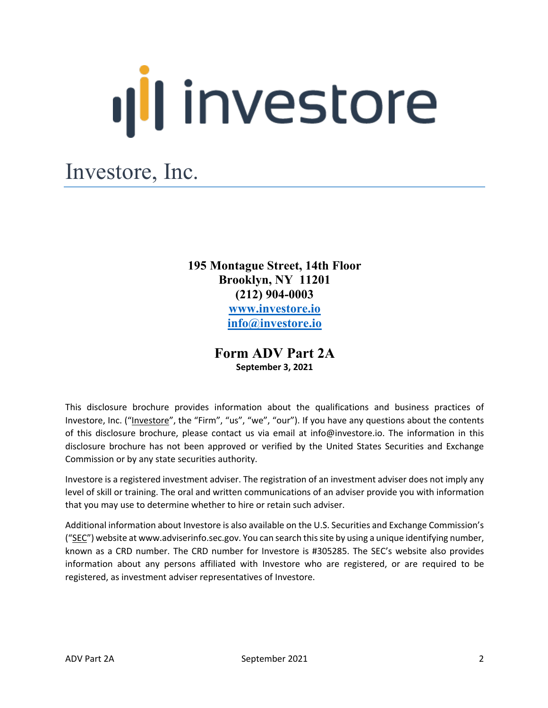# **Ill** investore

# Investore, Inc.

**195 Montague Street, 14th Floor Brooklyn, NY 11201 (212) 904-0003 www.investore.io info@investore.io**

> **Form ADV Part 2A September 3, 2021**

This disclosure brochure provides information about the qualifications and business practices of Investore, Inc. ("Investore", the "Firm", "us", "we", "our"). If you have any questions about the contents of this disclosure brochure, please contact us via email at info@investore.io. The information in this disclosure brochure has not been approved or verified by the United States Securities and Exchange Commission or by any state securities authority.

Investore is a registered investment adviser. The registration of an investment adviser does not imply any level of skill or training. The oral and written communications of an adviser provide you with information that you may use to determine whether to hire or retain such adviser.

Additional information about Investore is also available on the U.S. Securities and Exchange Commission's ("SEC") website at www.adviserinfo.sec.gov. You can search this site by using a unique identifying number, known as a CRD number. The CRD number for Investore is #305285. The SEC's website also provides information about any persons affiliated with Investore who are registered, or are required to be registered, as investment adviser representatives of Investore.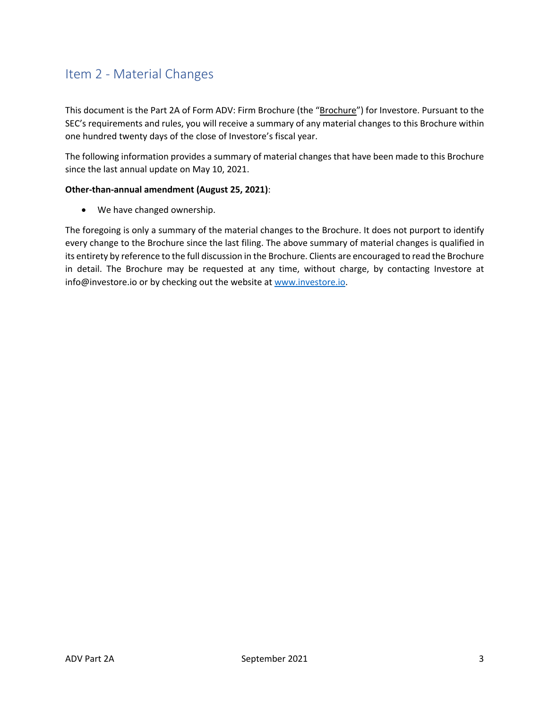# Item 2 - Material Changes

This document is the Part 2A of Form ADV: Firm Brochure (the "Brochure") for Investore. Pursuant to the SEC's requirements and rules, you will receive a summary of any material changes to this Brochure within one hundred twenty days of the close of Investore's fiscal year.

The following information provides a summary of material changes that have been made to this Brochure since the last annual update on May 10, 2021.

#### **Other-than-annual amendment (August 25, 2021)**:

• We have changed ownership.

The foregoing is only a summary of the material changes to the Brochure. It does not purport to identify every change to the Brochure since the last filing. The above summary of material changes is qualified in its entirety by reference to the full discussion in the Brochure. Clients are encouraged to read the Brochure in detail. The Brochure may be requested at any time, without charge, by contacting Investore at info@investore.io or by checking out the website at www.investore.io.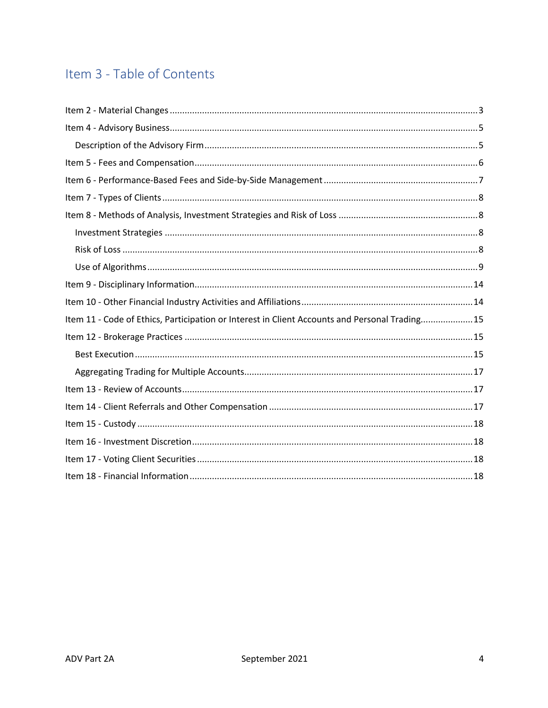# Item 3 - Table of Contents

| Item 11 - Code of Ethics, Participation or Interest in Client Accounts and Personal Trading15 |
|-----------------------------------------------------------------------------------------------|
|                                                                                               |
|                                                                                               |
|                                                                                               |
|                                                                                               |
|                                                                                               |
|                                                                                               |
|                                                                                               |
|                                                                                               |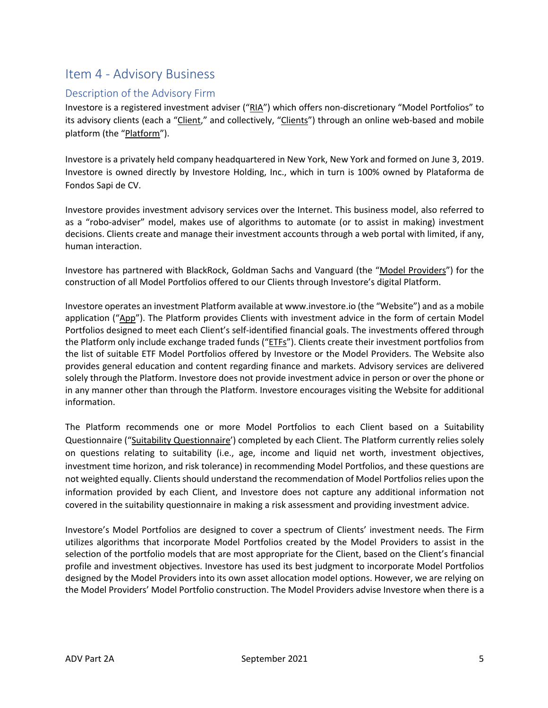#### Item 4 - Advisory Business

#### Description of the Advisory Firm

Investore is a registered investment adviser ("RIA") which offers non-discretionary "Model Portfolios" to its advisory clients (each a "Client," and collectively, "Clients") through an online web-based and mobile platform (the "Platform").

Investore is a privately held company headquartered in New York, New York and formed on June 3, 2019. Investore is owned directly by Investore Holding, Inc., which in turn is 100% owned by Plataforma de Fondos Sapi de CV.

Investore provides investment advisory services over the Internet. This business model, also referred to as a "robo-adviser" model, makes use of algorithms to automate (or to assist in making) investment decisions. Clients create and manage their investment accounts through a web portal with limited, if any, human interaction.

Investore has partnered with BlackRock, Goldman Sachs and Vanguard (the "Model Providers") for the construction of all Model Portfolios offered to our Clients through Investore's digital Platform.

Investore operates an investment Platform available at www.investore.io (the "Website") and as a mobile application ("App"). The Platform provides Clients with investment advice in the form of certain Model Portfolios designed to meet each Client's self-identified financial goals. The investments offered through the Platform only include exchange traded funds ("ETFs"). Clients create their investment portfolios from the list of suitable ETF Model Portfolios offered by Investore or the Model Providers. The Website also provides general education and content regarding finance and markets. Advisory services are delivered solely through the Platform. Investore does not provide investment advice in person or over the phone or in any manner other than through the Platform. Investore encourages visiting the Website for additional information.

The Platform recommends one or more Model Portfolios to each Client based on a Suitability Questionnaire ("Suitability Questionnaire') completed by each Client. The Platform currently relies solely on questions relating to suitability (i.e., age, income and liquid net worth, investment objectives, investment time horizon, and risk tolerance) in recommending Model Portfolios, and these questions are not weighted equally. Clients should understand the recommendation of Model Portfolios relies upon the information provided by each Client, and Investore does not capture any additional information not covered in the suitability questionnaire in making a risk assessment and providing investment advice.

Investore's Model Portfolios are designed to cover a spectrum of Clients' investment needs. The Firm utilizes algorithms that incorporate Model Portfolios created by the Model Providers to assist in the selection of the portfolio models that are most appropriate for the Client, based on the Client's financial profile and investment objectives. Investore has used its best judgment to incorporate Model Portfolios designed by the Model Providers into its own asset allocation model options. However, we are relying on the Model Providers' Model Portfolio construction. The Model Providers advise Investore when there is a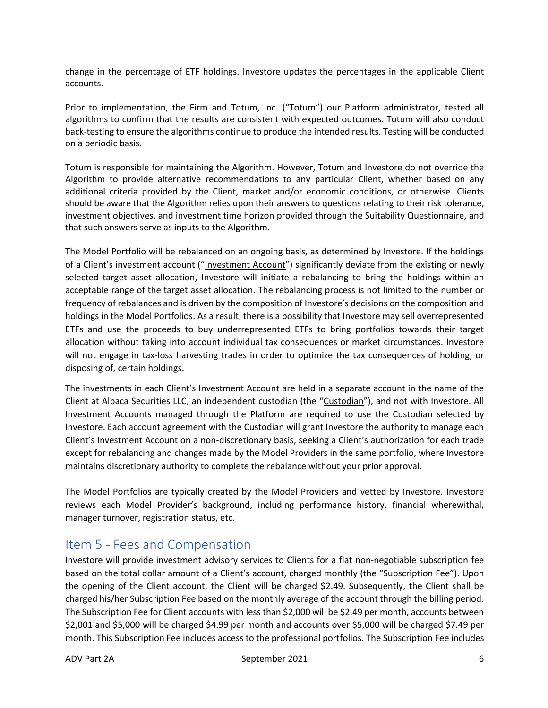change in the percentage of ETF holdings. Investore updates the percentages in the applicable Client accounts.

Prior to implementation, the Firm and Totum, Inc. ("Totum") our Platform administrator, tested all algorithms to confirm that the results are consistent with expected outcomes. Totum will also conduct back-testing to ensure the algorithms continue to produce the intended results. Testing will be conducted on a periodic basis.

Totum is responsible for maintaining the Algorithm. However, Totum and Investore do not override the Algorithm to provide alternative recommendations to any particular Client, whether based on any additional criteria provided by the Client, market and/or economic conditions, or otherwise. Clients should be aware that the Algorithm relies upon their answers to questions relating to their risk tolerance, investment objectives, and investment time horizon provided through the Suitability Questionnaire, and that such answers serve as inputs to the Algorithm.

The Model Portfolio will be rebalanced on an ongoing basis, as determined by Investore. If the holdings of a Client's investment account ("Investment Account") significantly deviate from the existing or newly selected target asset allocation, Investore will initiate a rebalancing to bring the holdings within an acceptable range of the target asset allocation. The rebalancing process is not limited to the number or frequency of rebalances and is driven by the composition of Investore's decisions on the composition and holdings in the Model Portfolios. As a result, there is a possibility that Investore may sell overrepresented ETFs and use the proceeds to buy underrepresented ETFs to bring portfolios towards their target allocation without taking into account individual tax consequences or market circumstances. Investore will not engage in tax-loss harvesting trades in order to optimize the tax consequences of holding, or disposing of, certain holdings.

The investments in each Client's Investment Account are held in a separate account in the name of the Client at Alpaca Securities LLC, an independent custodian (the "Custodian"), and not with Investore. All Investment Accounts managed through the Platform are required to use the Custodian selected by Investore. Each account agreement with the Custodian will grant Investore the authority to manage each Client's Investment Account on a non-discretionary basis, seeking a Client's authorization for each trade except for rebalancing and changes made by the Model Providers in the same portfolio, where Investore maintains discretionary authority to complete the rebalance without your prior approval.

The Model Portfolios are typically created by the Model Providers and vetted by Investore. Investore reviews each Model Provider's background, including performance history, financial wherewithal, manager turnover, registration status, etc.

#### Item 5 - Fees and Compensation

Investore will provide investment advisory services to Clients for a flat non-negotiable subscription fee based on the total dollar amount of a Client's account, charged monthly (the "Subscription Fee"). Upon the opening of the Client account, the Client will be charged \$2.49. Subsequently, the Client shall be charged his/her Subscription Fee based on the monthly average of the account through the billing period. The Subscription Fee for Client accounts with less than \$2,000 will be \$2.49 per month, accounts between \$2,001 and \$5,000 will be charged \$4.99 per month and accounts over \$5,000 will be charged \$7.49 per month. This Subscription Fee includes access to the professional portfolios. The Subscription Fee includes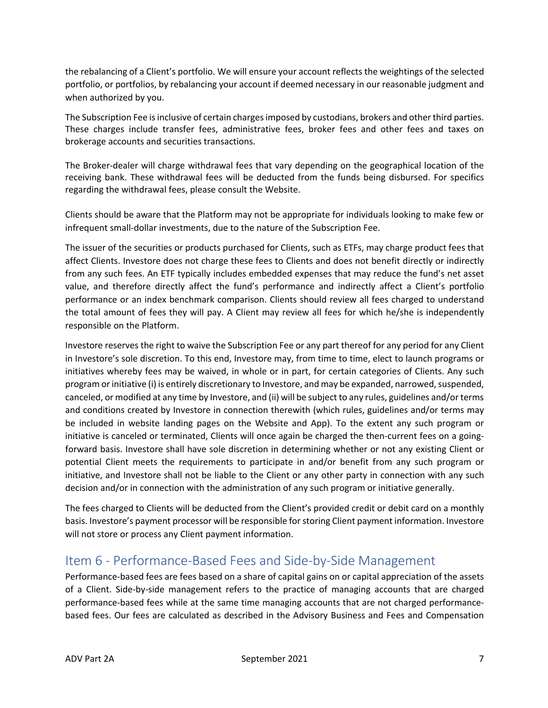the rebalancing of a Client's portfolio. We will ensure your account reflects the weightings of the selected portfolio, or portfolios, by rebalancing your account if deemed necessary in our reasonable judgment and when authorized by you.

The Subscription Fee is inclusive of certain charges imposed by custodians, brokers and other third parties. These charges include transfer fees, administrative fees, broker fees and other fees and taxes on brokerage accounts and securities transactions.

The Broker-dealer will charge withdrawal fees that vary depending on the geographical location of the receiving bank. These withdrawal fees will be deducted from the funds being disbursed. For specifics regarding the withdrawal fees, please consult the Website.

Clients should be aware that the Platform may not be appropriate for individuals looking to make few or infrequent small-dollar investments, due to the nature of the Subscription Fee.

The issuer of the securities or products purchased for Clients, such as ETFs, may charge product fees that affect Clients. Investore does not charge these fees to Clients and does not benefit directly or indirectly from any such fees. An ETF typically includes embedded expenses that may reduce the fund's net asset value, and therefore directly affect the fund's performance and indirectly affect a Client's portfolio performance or an index benchmark comparison. Clients should review all fees charged to understand the total amount of fees they will pay. A Client may review all fees for which he/she is independently responsible on the Platform.

Investore reserves the right to waive the Subscription Fee or any part thereof for any period for any Client in Investore's sole discretion. To this end, Investore may, from time to time, elect to launch programs or initiatives whereby fees may be waived, in whole or in part, for certain categories of Clients. Any such program or initiative (i) is entirely discretionary to Investore, and may be expanded, narrowed, suspended, canceled, or modified at any time by Investore, and (ii) will be subject to any rules, guidelines and/or terms and conditions created by Investore in connection therewith (which rules, guidelines and/or terms may be included in website landing pages on the Website and App). To the extent any such program or initiative is canceled or terminated, Clients will once again be charged the then-current fees on a goingforward basis. Investore shall have sole discretion in determining whether or not any existing Client or potential Client meets the requirements to participate in and/or benefit from any such program or initiative, and Investore shall not be liable to the Client or any other party in connection with any such decision and/or in connection with the administration of any such program or initiative generally.

The fees charged to Clients will be deducted from the Client's provided credit or debit card on a monthly basis. Investore's payment processor will be responsible for storing Client payment information. Investore will not store or process any Client payment information.

## Item 6 - Performance-Based Fees and Side-by-Side Management

Performance-based fees are fees based on a share of capital gains on or capital appreciation of the assets of a Client. Side-by-side management refers to the practice of managing accounts that are charged performance-based fees while at the same time managing accounts that are not charged performancebased fees. Our fees are calculated as described in the Advisory Business and Fees and Compensation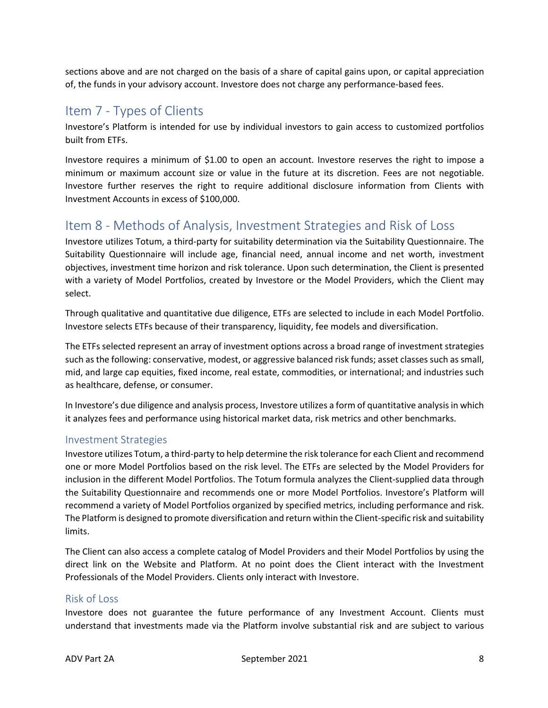sections above and are not charged on the basis of a share of capital gains upon, or capital appreciation of, the funds in your advisory account. Investore does not charge any performance-based fees.

#### Item 7 - Types of Clients

Investore's Platform is intended for use by individual investors to gain access to customized portfolios built from ETFs.

Investore requires a minimum of \$1.00 to open an account. Investore reserves the right to impose a minimum or maximum account size or value in the future at its discretion. Fees are not negotiable. Investore further reserves the right to require additional disclosure information from Clients with Investment Accounts in excess of \$100,000.

## Item 8 - Methods of Analysis, Investment Strategies and Risk of Loss

Investore utilizes Totum, a third-party for suitability determination via the Suitability Questionnaire. The Suitability Questionnaire will include age, financial need, annual income and net worth, investment objectives, investment time horizon and risk tolerance. Upon such determination, the Client is presented with a variety of Model Portfolios, created by Investore or the Model Providers, which the Client may select.

Through qualitative and quantitative due diligence, ETFs are selected to include in each Model Portfolio. Investore selects ETFs because of their transparency, liquidity, fee models and diversification.

The ETFs selected represent an array of investment options across a broad range of investment strategies such as the following: conservative, modest, or aggressive balanced risk funds; asset classes such as small, mid, and large cap equities, fixed income, real estate, commodities, or international; and industries such as healthcare, defense, or consumer.

In Investore's due diligence and analysis process, Investore utilizes a form of quantitative analysis in which it analyzes fees and performance using historical market data, risk metrics and other benchmarks.

#### Investment Strategies

Investore utilizes Totum, a third-party to help determine the risk tolerance for each Client and recommend one or more Model Portfolios based on the risk level. The ETFs are selected by the Model Providers for inclusion in the different Model Portfolios. The Totum formula analyzes the Client-supplied data through the Suitability Questionnaire and recommends one or more Model Portfolios. Investore's Platform will recommend a variety of Model Portfolios organized by specified metrics, including performance and risk. The Platform is designed to promote diversification and return within the Client-specific risk and suitability limits.

The Client can also access a complete catalog of Model Providers and their Model Portfolios by using the direct link on the Website and Platform. At no point does the Client interact with the Investment Professionals of the Model Providers. Clients only interact with Investore.

#### Risk of Loss

Investore does not guarantee the future performance of any Investment Account. Clients must understand that investments made via the Platform involve substantial risk and are subject to various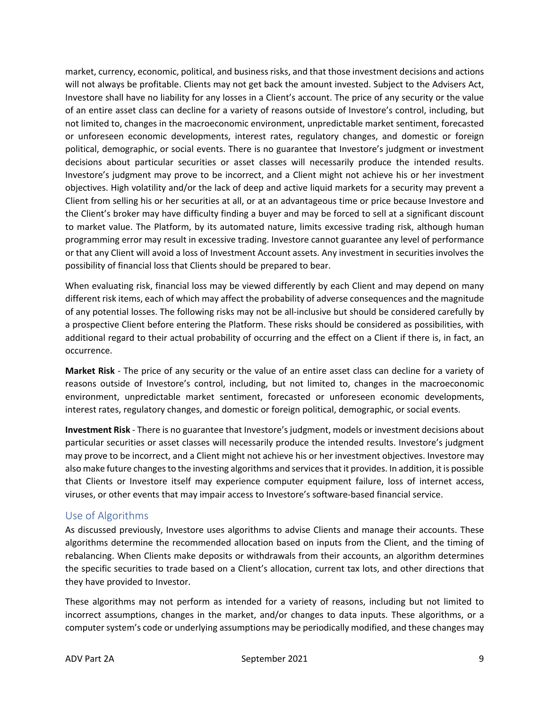market, currency, economic, political, and business risks, and that those investment decisions and actions will not always be profitable. Clients may not get back the amount invested. Subject to the Advisers Act, Investore shall have no liability for any losses in a Client's account. The price of any security or the value of an entire asset class can decline for a variety of reasons outside of Investore's control, including, but not limited to, changes in the macroeconomic environment, unpredictable market sentiment, forecasted or unforeseen economic developments, interest rates, regulatory changes, and domestic or foreign political, demographic, or social events. There is no guarantee that Investore's judgment or investment decisions about particular securities or asset classes will necessarily produce the intended results. Investore's judgment may prove to be incorrect, and a Client might not achieve his or her investment objectives. High volatility and/or the lack of deep and active liquid markets for a security may prevent a Client from selling his or her securities at all, or at an advantageous time or price because Investore and the Client's broker may have difficulty finding a buyer and may be forced to sell at a significant discount to market value. The Platform, by its automated nature, limits excessive trading risk, although human programming error may result in excessive trading. Investore cannot guarantee any level of performance or that any Client will avoid a loss of Investment Account assets. Any investment in securities involves the possibility of financial loss that Clients should be prepared to bear.

When evaluating risk, financial loss may be viewed differently by each Client and may depend on many different risk items, each of which may affect the probability of adverse consequences and the magnitude of any potential losses. The following risks may not be all-inclusive but should be considered carefully by a prospective Client before entering the Platform. These risks should be considered as possibilities, with additional regard to their actual probability of occurring and the effect on a Client if there is, in fact, an occurrence.

**Market Risk** - The price of any security or the value of an entire asset class can decline for a variety of reasons outside of Investore's control, including, but not limited to, changes in the macroeconomic environment, unpredictable market sentiment, forecasted or unforeseen economic developments, interest rates, regulatory changes, and domestic or foreign political, demographic, or social events.

**Investment Risk** - There is no guarantee that Investore's judgment, models or investment decisions about particular securities or asset classes will necessarily produce the intended results. Investore's judgment may prove to be incorrect, and a Client might not achieve his or her investment objectives. Investore may also make future changes to the investing algorithms and services that it provides. In addition, it is possible that Clients or Investore itself may experience computer equipment failure, loss of internet access, viruses, or other events that may impair access to Investore's software-based financial service.

#### Use of Algorithms

As discussed previously, Investore uses algorithms to advise Clients and manage their accounts. These algorithms determine the recommended allocation based on inputs from the Client, and the timing of rebalancing. When Clients make deposits or withdrawals from their accounts, an algorithm determines the specific securities to trade based on a Client's allocation, current tax lots, and other directions that they have provided to Investor.

These algorithms may not perform as intended for a variety of reasons, including but not limited to incorrect assumptions, changes in the market, and/or changes to data inputs. These algorithms, or a computer system's code or underlying assumptions may be periodically modified, and these changes may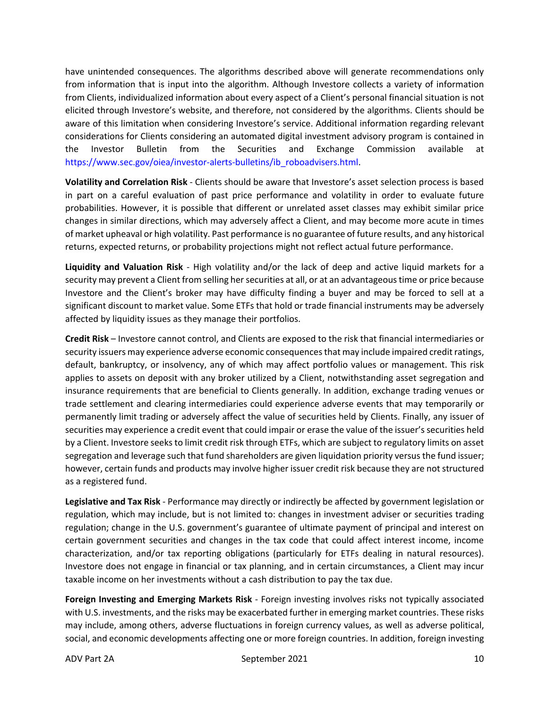have unintended consequences. The algorithms described above will generate recommendations only from information that is input into the algorithm. Although Investore collects a variety of information from Clients, individualized information about every aspect of a Client's personal financial situation is not elicited through Investore's website, and therefore, not considered by the algorithms. Clients should be aware of this limitation when considering Investore's service. Additional information regarding relevant considerations for Clients considering an automated digital investment advisory program is contained in the Investor Bulletin from the Securities and Exchange Commission available at https://www.sec.gov/oiea/investor-alerts-bulletins/ib\_roboadvisers.html.

**Volatility and Correlation Risk** - Clients should be aware that Investore's asset selection process is based in part on a careful evaluation of past price performance and volatility in order to evaluate future probabilities. However, it is possible that different or unrelated asset classes may exhibit similar price changes in similar directions, which may adversely affect a Client, and may become more acute in times of market upheaval or high volatility. Past performance is no guarantee of future results, and any historical returns, expected returns, or probability projections might not reflect actual future performance.

**Liquidity and Valuation Risk** - High volatility and/or the lack of deep and active liquid markets for a security may prevent a Client from selling her securities at all, or at an advantageous time or price because Investore and the Client's broker may have difficulty finding a buyer and may be forced to sell at a significant discount to market value. Some ETFs that hold or trade financial instruments may be adversely affected by liquidity issues as they manage their portfolios.

**Credit Risk** – Investore cannot control, and Clients are exposed to the risk that financial intermediaries or security issuers may experience adverse economic consequences that may include impaired credit ratings, default, bankruptcy, or insolvency, any of which may affect portfolio values or management. This risk applies to assets on deposit with any broker utilized by a Client, notwithstanding asset segregation and insurance requirements that are beneficial to Clients generally. In addition, exchange trading venues or trade settlement and clearing intermediaries could experience adverse events that may temporarily or permanently limit trading or adversely affect the value of securities held by Clients. Finally, any issuer of securities may experience a credit event that could impair or erase the value of the issuer's securities held by a Client. Investore seeks to limit credit risk through ETFs, which are subject to regulatory limits on asset segregation and leverage such that fund shareholders are given liquidation priority versus the fund issuer; however, certain funds and products may involve higher issuer credit risk because they are not structured as a registered fund.

**Legislative and Tax Risk** - Performance may directly or indirectly be affected by government legislation or regulation, which may include, but is not limited to: changes in investment adviser or securities trading regulation; change in the U.S. government's guarantee of ultimate payment of principal and interest on certain government securities and changes in the tax code that could affect interest income, income characterization, and/or tax reporting obligations (particularly for ETFs dealing in natural resources). Investore does not engage in financial or tax planning, and in certain circumstances, a Client may incur taxable income on her investments without a cash distribution to pay the tax due.

**Foreign Investing and Emerging Markets Risk** - Foreign investing involves risks not typically associated with U.S. investments, and the risks may be exacerbated further in emerging market countries. These risks may include, among others, adverse fluctuations in foreign currency values, as well as adverse political, social, and economic developments affecting one or more foreign countries. In addition, foreign investing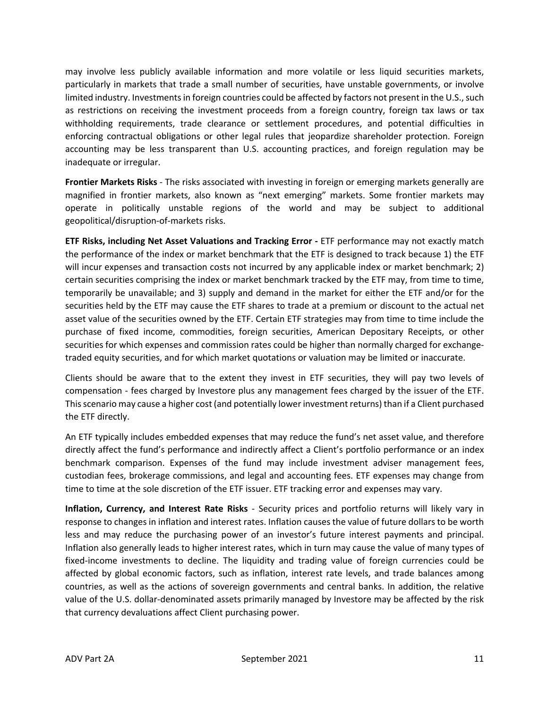may involve less publicly available information and more volatile or less liquid securities markets, particularly in markets that trade a small number of securities, have unstable governments, or involve limited industry. Investments in foreign countries could be affected by factors not present in the U.S., such as restrictions on receiving the investment proceeds from a foreign country, foreign tax laws or tax withholding requirements, trade clearance or settlement procedures, and potential difficulties in enforcing contractual obligations or other legal rules that jeopardize shareholder protection. Foreign accounting may be less transparent than U.S. accounting practices, and foreign regulation may be inadequate or irregular.

**Frontier Markets Risks** - The risks associated with investing in foreign or emerging markets generally are magnified in frontier markets, also known as "next emerging" markets. Some frontier markets may operate in politically unstable regions of the world and may be subject to additional geopolitical/disruption-of-markets risks.

**ETF Risks, including Net Asset Valuations and Tracking Error -** ETF performance may not exactly match the performance of the index or market benchmark that the ETF is designed to track because 1) the ETF will incur expenses and transaction costs not incurred by any applicable index or market benchmark; 2) certain securities comprising the index or market benchmark tracked by the ETF may, from time to time, temporarily be unavailable; and 3) supply and demand in the market for either the ETF and/or for the securities held by the ETF may cause the ETF shares to trade at a premium or discount to the actual net asset value of the securities owned by the ETF. Certain ETF strategies may from time to time include the purchase of fixed income, commodities, foreign securities, American Depositary Receipts, or other securities for which expenses and commission rates could be higher than normally charged for exchangetraded equity securities, and for which market quotations or valuation may be limited or inaccurate.

Clients should be aware that to the extent they invest in ETF securities, they will pay two levels of compensation - fees charged by Investore plus any management fees charged by the issuer of the ETF. This scenario may cause a higher cost (and potentially lower investment returns) than if a Client purchased the ETF directly.

An ETF typically includes embedded expenses that may reduce the fund's net asset value, and therefore directly affect the fund's performance and indirectly affect a Client's portfolio performance or an index benchmark comparison. Expenses of the fund may include investment adviser management fees, custodian fees, brokerage commissions, and legal and accounting fees. ETF expenses may change from time to time at the sole discretion of the ETF issuer. ETF tracking error and expenses may vary.

**Inflation, Currency, and Interest Rate Risks** - Security prices and portfolio returns will likely vary in response to changes in inflation and interest rates. Inflation causes the value of future dollars to be worth less and may reduce the purchasing power of an investor's future interest payments and principal. Inflation also generally leads to higher interest rates, which in turn may cause the value of many types of fixed-income investments to decline. The liquidity and trading value of foreign currencies could be affected by global economic factors, such as inflation, interest rate levels, and trade balances among countries, as well as the actions of sovereign governments and central banks. In addition, the relative value of the U.S. dollar-denominated assets primarily managed by Investore may be affected by the risk that currency devaluations affect Client purchasing power.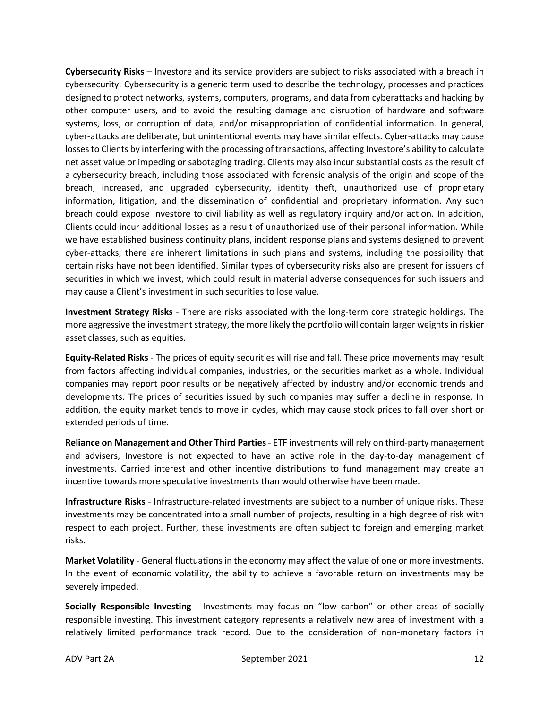**Cybersecurity Risks** – Investore and its service providers are subject to risks associated with a breach in cybersecurity. Cybersecurity is a generic term used to describe the technology, processes and practices designed to protect networks, systems, computers, programs, and data from cyberattacks and hacking by other computer users, and to avoid the resulting damage and disruption of hardware and software systems, loss, or corruption of data, and/or misappropriation of confidential information. In general, cyber-attacks are deliberate, but unintentional events may have similar effects. Cyber-attacks may cause losses to Clients by interfering with the processing of transactions, affecting Investore's ability to calculate net asset value or impeding or sabotaging trading. Clients may also incur substantial costs as the result of a cybersecurity breach, including those associated with forensic analysis of the origin and scope of the breach, increased, and upgraded cybersecurity, identity theft, unauthorized use of proprietary information, litigation, and the dissemination of confidential and proprietary information. Any such breach could expose Investore to civil liability as well as regulatory inquiry and/or action. In addition, Clients could incur additional losses as a result of unauthorized use of their personal information. While we have established business continuity plans, incident response plans and systems designed to prevent cyber-attacks, there are inherent limitations in such plans and systems, including the possibility that certain risks have not been identified. Similar types of cybersecurity risks also are present for issuers of securities in which we invest, which could result in material adverse consequences for such issuers and may cause a Client's investment in such securities to lose value.

**Investment Strategy Risks** - There are risks associated with the long-term core strategic holdings. The more aggressive the investment strategy, the more likely the portfolio will contain larger weights in riskier asset classes, such as equities.

**Equity-Related Risks** - The prices of equity securities will rise and fall. These price movements may result from factors affecting individual companies, industries, or the securities market as a whole. Individual companies may report poor results or be negatively affected by industry and/or economic trends and developments. The prices of securities issued by such companies may suffer a decline in response. In addition, the equity market tends to move in cycles, which may cause stock prices to fall over short or extended periods of time.

**Reliance on Management and Other Third Parties**- ETF investments will rely on third-party management and advisers, Investore is not expected to have an active role in the day-to-day management of investments. Carried interest and other incentive distributions to fund management may create an incentive towards more speculative investments than would otherwise have been made.

**Infrastructure Risks** - Infrastructure-related investments are subject to a number of unique risks. These investments may be concentrated into a small number of projects, resulting in a high degree of risk with respect to each project. Further, these investments are often subject to foreign and emerging market risks.

**Market Volatility** - General fluctuations in the economy may affect the value of one or more investments. In the event of economic volatility, the ability to achieve a favorable return on investments may be severely impeded.

**Socially Responsible Investing** - Investments may focus on "low carbon" or other areas of socially responsible investing. This investment category represents a relatively new area of investment with a relatively limited performance track record. Due to the consideration of non-monetary factors in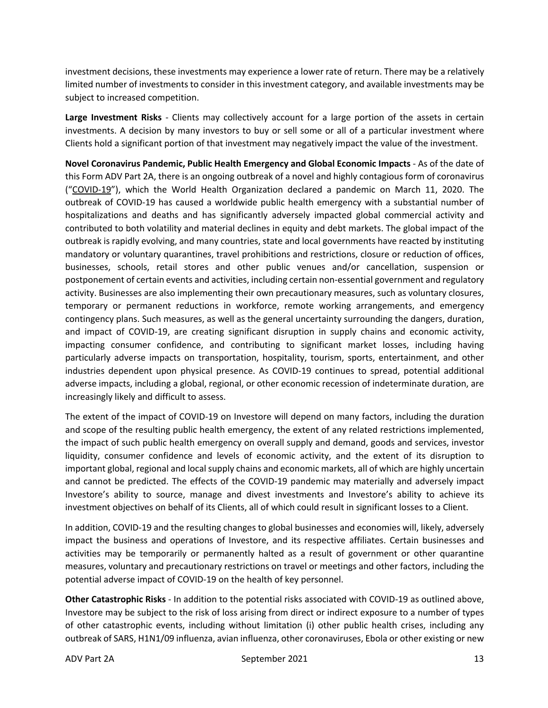investment decisions, these investments may experience a lower rate of return. There may be a relatively limited number of investments to consider in this investment category, and available investments may be subject to increased competition.

**Large Investment Risks** - Clients may collectively account for a large portion of the assets in certain investments. A decision by many investors to buy or sell some or all of a particular investment where Clients hold a significant portion of that investment may negatively impact the value of the investment.

**Novel Coronavirus Pandemic, Public Health Emergency and Global Economic Impacts** - As of the date of this Form ADV Part 2A, there is an ongoing outbreak of a novel and highly contagious form of coronavirus ("COVID-19"), which the World Health Organization declared a pandemic on March 11, 2020. The outbreak of COVID-19 has caused a worldwide public health emergency with a substantial number of hospitalizations and deaths and has significantly adversely impacted global commercial activity and contributed to both volatility and material declines in equity and debt markets. The global impact of the outbreak is rapidly evolving, and many countries, state and local governments have reacted by instituting mandatory or voluntary quarantines, travel prohibitions and restrictions, closure or reduction of offices, businesses, schools, retail stores and other public venues and/or cancellation, suspension or postponement of certain events and activities, including certain non-essential government and regulatory activity. Businesses are also implementing their own precautionary measures, such as voluntary closures, temporary or permanent reductions in workforce, remote working arrangements, and emergency contingency plans. Such measures, as well as the general uncertainty surrounding the dangers, duration, and impact of COVID-19, are creating significant disruption in supply chains and economic activity, impacting consumer confidence, and contributing to significant market losses, including having particularly adverse impacts on transportation, hospitality, tourism, sports, entertainment, and other industries dependent upon physical presence. As COVID-19 continues to spread, potential additional adverse impacts, including a global, regional, or other economic recession of indeterminate duration, are increasingly likely and difficult to assess.

The extent of the impact of COVID-19 on Investore will depend on many factors, including the duration and scope of the resulting public health emergency, the extent of any related restrictions implemented, the impact of such public health emergency on overall supply and demand, goods and services, investor liquidity, consumer confidence and levels of economic activity, and the extent of its disruption to important global, regional and local supply chains and economic markets, all of which are highly uncertain and cannot be predicted. The effects of the COVID-19 pandemic may materially and adversely impact Investore's ability to source, manage and divest investments and Investore's ability to achieve its investment objectives on behalf of its Clients, all of which could result in significant losses to a Client.

In addition, COVID-19 and the resulting changes to global businesses and economies will, likely, adversely impact the business and operations of Investore, and its respective affiliates. Certain businesses and activities may be temporarily or permanently halted as a result of government or other quarantine measures, voluntary and precautionary restrictions on travel or meetings and other factors, including the potential adverse impact of COVID-19 on the health of key personnel.

**Other Catastrophic Risks** - In addition to the potential risks associated with COVID-19 as outlined above, Investore may be subject to the risk of loss arising from direct or indirect exposure to a number of types of other catastrophic events, including without limitation (i) other public health crises, including any outbreak of SARS, H1N1/09 influenza, avian influenza, other coronaviruses, Ebola or other existing or new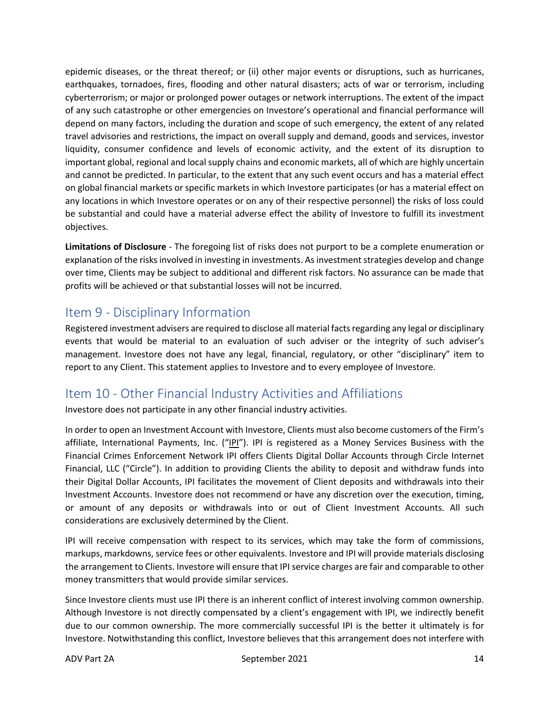epidemic diseases, or the threat thereof; or (ii) other major events or disruptions, such as hurricanes, earthquakes, tornadoes, fires, flooding and other natural disasters; acts of war or terrorism, including cyberterrorism; or major or prolonged power outages or network interruptions. The extent of the impact of any such catastrophe or other emergencies on Investore's operational and financial performance will depend on many factors, including the duration and scope of such emergency, the extent of any related travel advisories and restrictions, the impact on overall supply and demand, goods and services, investor liquidity, consumer confidence and levels of economic activity, and the extent of its disruption to important global, regional and local supply chains and economic markets, all of which are highly uncertain and cannot be predicted. In particular, to the extent that any such event occurs and has a material effect on global financial markets or specific markets in which Investore participates (or has a material effect on any locations in which Investore operates or on any of their respective personnel) the risks of loss could be substantial and could have a material adverse effect the ability of Investore to fulfill its investment objectives.

**Limitations of Disclosure** - The foregoing list of risks does not purport to be a complete enumeration or explanation of the risks involved in investing in investments. As investment strategies develop and change over time, Clients may be subject to additional and different risk factors. No assurance can be made that profits will be achieved or that substantial losses will not be incurred.

#### Item 9 - Disciplinary Information

Registered investment advisers are required to disclose all material facts regarding any legal or disciplinary events that would be material to an evaluation of such adviser or the integrity of such adviser's management. Investore does not have any legal, financial, regulatory, or other "disciplinary" item to report to any Client. This statement applies to Investore and to every employee of Investore.

## Item 10 - Other Financial Industry Activities and Affiliations

Investore does not participate in any other financial industry activities.

In order to open an Investment Account with Investore, Clients must also become customers of the Firm's affiliate, International Payments, Inc. ("IPI"). IPI is registered as a Money Services Business with the Financial Crimes Enforcement Network IPI offers Clients Digital Dollar Accounts through Circle Internet Financial, LLC ("Circle"). In addition to providing Clients the ability to deposit and withdraw funds into their Digital Dollar Accounts, IPI facilitates the movement of Client deposits and withdrawals into their Investment Accounts. Investore does not recommend or have any discretion over the execution, timing, or amount of any deposits or withdrawals into or out of Client Investment Accounts. All such considerations are exclusively determined by the Client.

IPI will receive compensation with respect to its services, which may take the form of commissions, markups, markdowns, service fees or other equivalents. Investore and IPI will provide materials disclosing the arrangement to Clients. Investore will ensure that IPI service charges are fair and comparable to other money transmitters that would provide similar services.

Since Investore clients must use IPI there is an inherent conflict of interest involving common ownership. Although Investore is not directly compensated by a client's engagement with IPI, we indirectly benefit due to our common ownership. The more commercially successful IPI is the better it ultimately is for Investore. Notwithstanding this conflict, Investore believes that this arrangement does not interfere with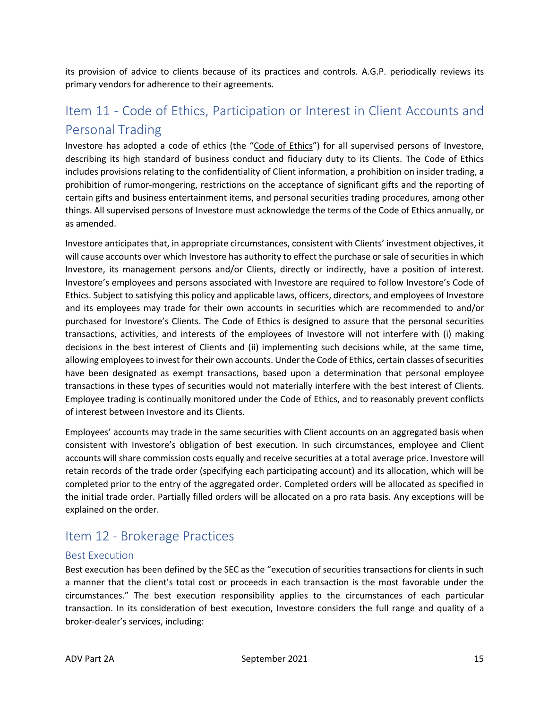its provision of advice to clients because of its practices and controls. A.G.P. periodically reviews its primary vendors for adherence to their agreements.

# Item 11 - Code of Ethics, Participation or Interest in Client Accounts and Personal Trading

Investore has adopted a code of ethics (the "Code of Ethics") for all supervised persons of Investore, describing its high standard of business conduct and fiduciary duty to its Clients. The Code of Ethics includes provisions relating to the confidentiality of Client information, a prohibition on insider trading, a prohibition of rumor-mongering, restrictions on the acceptance of significant gifts and the reporting of certain gifts and business entertainment items, and personal securities trading procedures, among other things. All supervised persons of Investore must acknowledge the terms of the Code of Ethics annually, or as amended.

Investore anticipates that, in appropriate circumstances, consistent with Clients' investment objectives, it will cause accounts over which Investore has authority to effect the purchase or sale of securities in which Investore, its management persons and/or Clients, directly or indirectly, have a position of interest. Investore's employees and persons associated with Investore are required to follow Investore's Code of Ethics. Subject to satisfying this policy and applicable laws, officers, directors, and employees of Investore and its employees may trade for their own accounts in securities which are recommended to and/or purchased for Investore's Clients. The Code of Ethics is designed to assure that the personal securities transactions, activities, and interests of the employees of Investore will not interfere with (i) making decisions in the best interest of Clients and (ii) implementing such decisions while, at the same time, allowing employees to invest for their own accounts. Under the Code of Ethics, certain classes of securities have been designated as exempt transactions, based upon a determination that personal employee transactions in these types of securities would not materially interfere with the best interest of Clients. Employee trading is continually monitored under the Code of Ethics, and to reasonably prevent conflicts of interest between Investore and its Clients.

Employees' accounts may trade in the same securities with Client accounts on an aggregated basis when consistent with Investore's obligation of best execution. In such circumstances, employee and Client accounts will share commission costs equally and receive securities at a total average price. Investore will retain records of the trade order (specifying each participating account) and its allocation, which will be completed prior to the entry of the aggregated order. Completed orders will be allocated as specified in the initial trade order. Partially filled orders will be allocated on a pro rata basis. Any exceptions will be explained on the order.

## Item 12 - Brokerage Practices

#### Best Execution

Best execution has been defined by the SEC as the "execution of securities transactions for clients in such a manner that the client's total cost or proceeds in each transaction is the most favorable under the circumstances." The best execution responsibility applies to the circumstances of each particular transaction. In its consideration of best execution, Investore considers the full range and quality of a broker-dealer's services, including: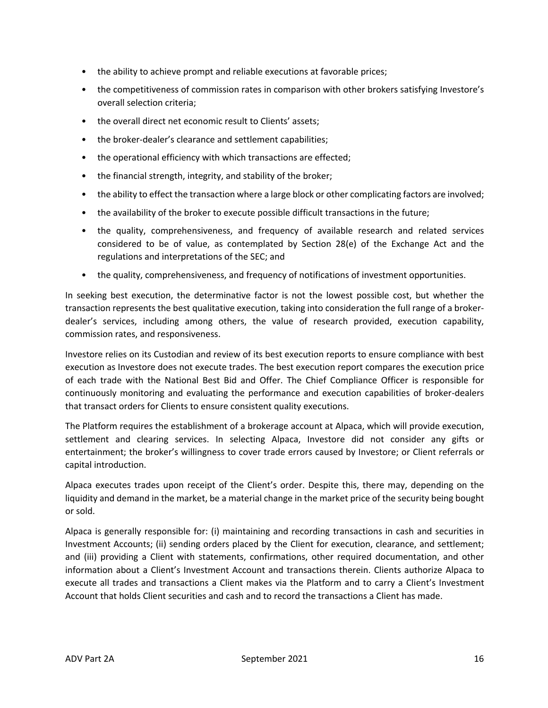- the ability to achieve prompt and reliable executions at favorable prices;
- the competitiveness of commission rates in comparison with other brokers satisfying Investore's overall selection criteria;
- the overall direct net economic result to Clients' assets:
- the broker-dealer's clearance and settlement capabilities;
- the operational efficiency with which transactions are effected;
- the financial strength, integrity, and stability of the broker;
- the ability to effect the transaction where a large block or other complicating factors are involved;
- the availability of the broker to execute possible difficult transactions in the future;
- the quality, comprehensiveness, and frequency of available research and related services considered to be of value, as contemplated by Section 28(e) of the Exchange Act and the regulations and interpretations of the SEC; and
- the quality, comprehensiveness, and frequency of notifications of investment opportunities.

In seeking best execution, the determinative factor is not the lowest possible cost, but whether the transaction represents the best qualitative execution, taking into consideration the full range of a brokerdealer's services, including among others, the value of research provided, execution capability, commission rates, and responsiveness.

Investore relies on its Custodian and review of its best execution reports to ensure compliance with best execution as Investore does not execute trades. The best execution report compares the execution price of each trade with the National Best Bid and Offer. The Chief Compliance Officer is responsible for continuously monitoring and evaluating the performance and execution capabilities of broker-dealers that transact orders for Clients to ensure consistent quality executions.

The Platform requires the establishment of a brokerage account at Alpaca, which will provide execution, settlement and clearing services. In selecting Alpaca, Investore did not consider any gifts or entertainment; the broker's willingness to cover trade errors caused by Investore; or Client referrals or capital introduction.

Alpaca executes trades upon receipt of the Client's order. Despite this, there may, depending on the liquidity and demand in the market, be a material change in the market price of the security being bought or sold.

Alpaca is generally responsible for: (i) maintaining and recording transactions in cash and securities in Investment Accounts; (ii) sending orders placed by the Client for execution, clearance, and settlement; and (iii) providing a Client with statements, confirmations, other required documentation, and other information about a Client's Investment Account and transactions therein. Clients authorize Alpaca to execute all trades and transactions a Client makes via the Platform and to carry a Client's Investment Account that holds Client securities and cash and to record the transactions a Client has made.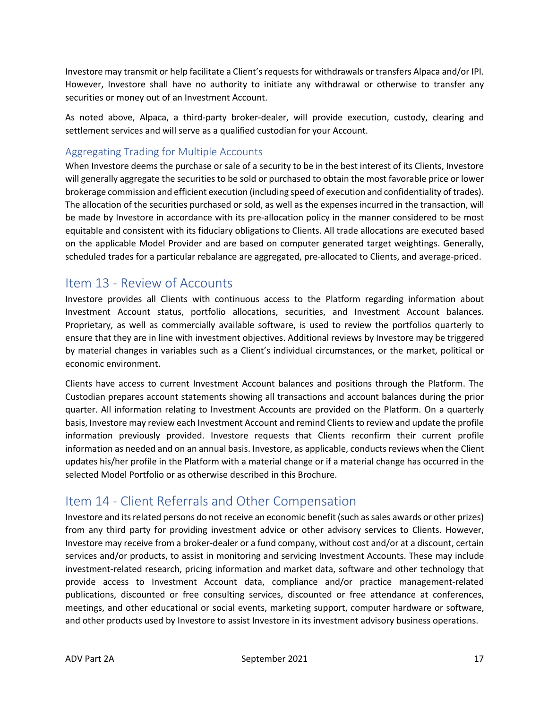Investore may transmit or help facilitate a Client's requests for withdrawals or transfers Alpaca and/or IPI. However, Investore shall have no authority to initiate any withdrawal or otherwise to transfer any securities or money out of an Investment Account.

As noted above, Alpaca, a third-party broker-dealer, will provide execution, custody, clearing and settlement services and will serve as a qualified custodian for your Account.

#### Aggregating Trading for Multiple Accounts

When Investore deems the purchase or sale of a security to be in the best interest of its Clients, Investore will generally aggregate the securities to be sold or purchased to obtain the most favorable price or lower brokerage commission and efficient execution (including speed of execution and confidentiality of trades). The allocation of the securities purchased or sold, as well as the expenses incurred in the transaction, will be made by Investore in accordance with its pre-allocation policy in the manner considered to be most equitable and consistent with its fiduciary obligations to Clients. All trade allocations are executed based on the applicable Model Provider and are based on computer generated target weightings. Generally, scheduled trades for a particular rebalance are aggregated, pre-allocated to Clients, and average-priced.

#### Item 13 - Review of Accounts

Investore provides all Clients with continuous access to the Platform regarding information about Investment Account status, portfolio allocations, securities, and Investment Account balances. Proprietary, as well as commercially available software, is used to review the portfolios quarterly to ensure that they are in line with investment objectives. Additional reviews by Investore may be triggered by material changes in variables such as a Client's individual circumstances, or the market, political or economic environment.

Clients have access to current Investment Account balances and positions through the Platform. The Custodian prepares account statements showing all transactions and account balances during the prior quarter. All information relating to Investment Accounts are provided on the Platform. On a quarterly basis, Investore may review each Investment Account and remind Clients to review and update the profile information previously provided. Investore requests that Clients reconfirm their current profile information as needed and on an annual basis. Investore, as applicable, conducts reviews when the Client updates his/her profile in the Platform with a material change or if a material change has occurred in the selected Model Portfolio or as otherwise described in this Brochure.

## Item 14 - Client Referrals and Other Compensation

Investore and its related persons do not receive an economic benefit (such as sales awards or other prizes) from any third party for providing investment advice or other advisory services to Clients. However, Investore may receive from a broker-dealer or a fund company, without cost and/or at a discount, certain services and/or products, to assist in monitoring and servicing Investment Accounts. These may include investment-related research, pricing information and market data, software and other technology that provide access to Investment Account data, compliance and/or practice management-related publications, discounted or free consulting services, discounted or free attendance at conferences, meetings, and other educational or social events, marketing support, computer hardware or software, and other products used by Investore to assist Investore in its investment advisory business operations.